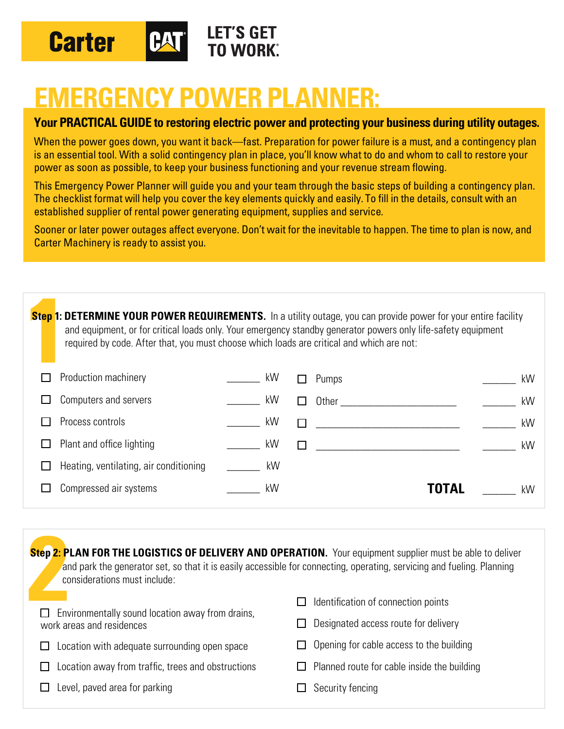

# **EMERGENCY POWER PLANNER:**

#### **Your PRACTICAL GUIDE to restoring electric power and protecting your business during utility outages.**

When the power goes down, you want it back—fast. Preparation for power failure is a must, and a contingency plan is an essential tool. With a solid contingency plan in place, you'll know what to do and whom to call to restore your power as soon as possible, to keep your business functioning and your revenue stream flowing.

This Emergency Power Planner will guide you and your team through the basic steps of building a contingency plan. The checklist format will help you cover the key elements quickly and easily. To fill in the details, consult with an established supplier of rental power generating equipment, supplies and service.

Sooner or later power outages affect everyone. Don't wait for the inevitable to happen. The time to plan is now, and Carter Machinery is ready to assist you.

| Step 1: DETERMINE YOUR POWER REQUIREMENTS. In a utility outage, you can provide power for your entire facility<br>and equipment, or for critical loads only. Your emergency standby generator powers only life-safety equipment<br>required by code. After that, you must choose which loads are critical and which are not: |  |    |    |       |                                                                                                               |  |  |  |  |
|------------------------------------------------------------------------------------------------------------------------------------------------------------------------------------------------------------------------------------------------------------------------------------------------------------------------------|--|----|----|-------|---------------------------------------------------------------------------------------------------------------|--|--|--|--|
| Production machinery                                                                                                                                                                                                                                                                                                         |  | kW |    | Pumps | kW                                                                                                            |  |  |  |  |
| Computers and servers                                                                                                                                                                                                                                                                                                        |  | kW |    |       | kW                                                                                                            |  |  |  |  |
| Process controls                                                                                                                                                                                                                                                                                                             |  | kW |    |       | kW                                                                                                            |  |  |  |  |
| Plant and office lighting                                                                                                                                                                                                                                                                                                    |  | kW |    |       | kW                                                                                                            |  |  |  |  |
| Heating, ventilating, air conditioning                                                                                                                                                                                                                                                                                       |  |    |    |       |                                                                                                               |  |  |  |  |
| Compressed air systems                                                                                                                                                                                                                                                                                                       |  | kW |    |       | kW                                                                                                            |  |  |  |  |
|                                                                                                                                                                                                                                                                                                                              |  |    | kW |       | Other and the contract of the contract of the contract of the contract of the contract of the contract of the |  |  |  |  |

| Step 2: PLAN FOR THE LOGISTICS OF DELIVERY AND OPERATION. Your equipment supplier must be able to deliver<br>and park the generator set, so that it is easily accessible for connecting, operating, servicing and fueling. Planning<br>considerations must include: |                                                                             |  |  |  |  |  |  |  |
|---------------------------------------------------------------------------------------------------------------------------------------------------------------------------------------------------------------------------------------------------------------------|-----------------------------------------------------------------------------|--|--|--|--|--|--|--|
| Environmentally sound location away from drains,<br>work areas and residences                                                                                                                                                                                       | Identification of connection points<br>Designated access route for delivery |  |  |  |  |  |  |  |
| Location with adequate surrounding open space                                                                                                                                                                                                                       | Opening for cable access to the building                                    |  |  |  |  |  |  |  |
| Location away from traffic, trees and obstructions                                                                                                                                                                                                                  | Planned route for cable inside the building                                 |  |  |  |  |  |  |  |
| Level, paved area for parking                                                                                                                                                                                                                                       | Security fencing                                                            |  |  |  |  |  |  |  |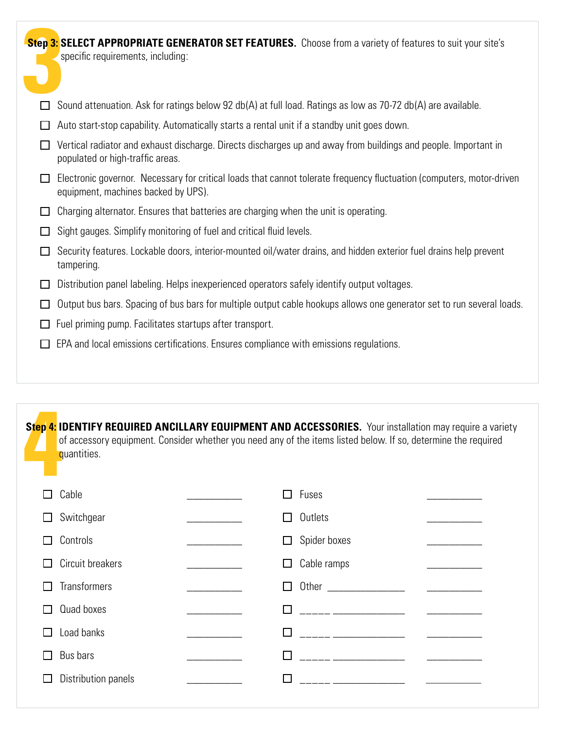|        | <b>Step 3: SELECT APPROPRIATE GENERATOR SET FEATURES.</b> Choose from a variety of features to suit your site's<br>specific requirements, including:         |
|--------|--------------------------------------------------------------------------------------------------------------------------------------------------------------|
|        | Sound attenuation. Ask for ratings below 92 db(A) at full load. Ratings as low as 70-72 db(A) are available.                                                 |
| $\Box$ | Auto start-stop capability. Automatically starts a rental unit if a standby unit goes down.                                                                  |
|        | Vertical radiator and exhaust discharge. Directs discharges up and away from buildings and people. Important in<br>populated or high-traffic areas.          |
|        | Electronic governor. Necessary for critical loads that cannot tolerate frequency fluctuation (computers, motor-driven<br>equipment, machines backed by UPS). |
| ⊔      | Charging alternator. Ensures that batteries are charging when the unit is operating.                                                                         |
| ⊔      | Sight gauges. Simplify monitoring of fuel and critical fluid levels.                                                                                         |
|        | Security features. Lockable doors, interior-mounted oil/water drains, and hidden exterior fuel drains help prevent<br>tampering.                             |
| $\Box$ | Distribution panel labeling. Helps inexperienced operators safely identify output voltages.                                                                  |
|        | Output bus bars. Spacing of bus bars for multiple output cable hookups allows one generator set to run several loads.                                        |
| $\Box$ | Fuel priming pump. Facilitates startups after transport.                                                                                                     |
| $\Box$ | EPA and local emissions certifications. Ensures compliance with emissions regulations.                                                                       |

| Step 4: IDENTIFY REQUIRED ANCILLARY EQUIPMENT AND ACCESSORIES. Your installation may require a variety<br>of accessory equipment. Consider whether you need any of the items listed below. If so, determine the required<br>quantities. |                     |  |                                                                                                                        |  |  |  |  |  |
|-----------------------------------------------------------------------------------------------------------------------------------------------------------------------------------------------------------------------------------------|---------------------|--|------------------------------------------------------------------------------------------------------------------------|--|--|--|--|--|
|                                                                                                                                                                                                                                         | Cable               |  | Fuses<br>ΙI                                                                                                            |  |  |  |  |  |
|                                                                                                                                                                                                                                         | Switchgear          |  | Outlets<br>ΙI                                                                                                          |  |  |  |  |  |
|                                                                                                                                                                                                                                         | Controls            |  | Spider boxes<br>$\sqcup$                                                                                               |  |  |  |  |  |
|                                                                                                                                                                                                                                         | Circuit breakers    |  | Cable ramps<br>⊔                                                                                                       |  |  |  |  |  |
|                                                                                                                                                                                                                                         | <b>Transformers</b> |  | $\mathsf{L}$                                                                                                           |  |  |  |  |  |
|                                                                                                                                                                                                                                         | Quad boxes          |  | <u> 2002 - Jan James James Jan James James Jan James James Jan James James Jan Jan James James Jan Jan James Jan J</u> |  |  |  |  |  |
|                                                                                                                                                                                                                                         | Load banks          |  |                                                                                                                        |  |  |  |  |  |
|                                                                                                                                                                                                                                         | Bus bars            |  |                                                                                                                        |  |  |  |  |  |
|                                                                                                                                                                                                                                         | Distribution panels |  | <u> 1980 - Jan Jawa Barat, president p</u>                                                                             |  |  |  |  |  |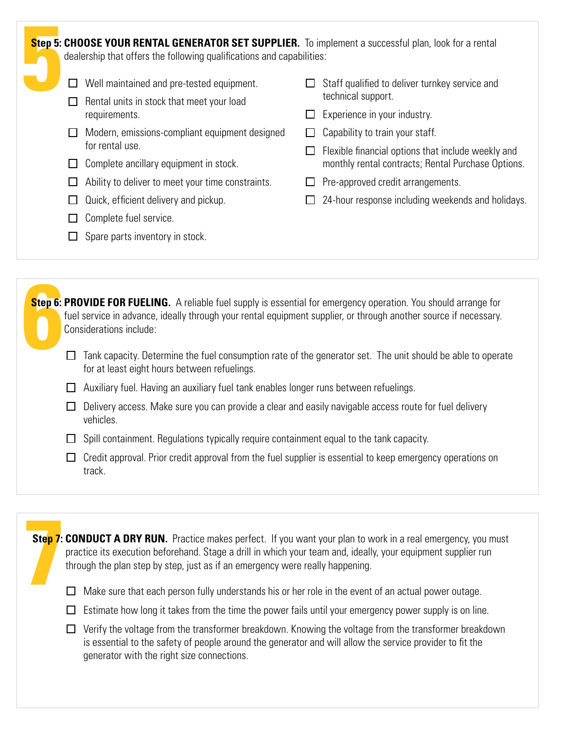**Step 5: Step 5: CHOOSE YOUR RENTAL GENERATOR SET SUPPLIER.** To implement a successful plan, look for a rental dealership that offers the following qualifications and capabilities:

- $\Box$  Well maintained and pre-tested equipment.
- $\Box$  Rental units in stock that meet your load requirements.
- $\Box$  Modern, emissions-compliant equipment designed for rental use.
- $\Box$  Complete ancillary equipment in stock.
- $\Box$  Ability to deliver to meet your time constraints.
- $\Box$  Quick, efficient delivery and pickup.
- $\Box$  Complete fuel service.
- $\Box$  Spare parts inventory in stock.
- $\Box$  Staff qualified to deliver turnkey service and technical support.
- $\Box$  Experience in your industry.
- $\Box$  Capability to train your staff.
- $\Box$  Flexible financial options that include weekly and monthly rental contracts; Rental Purchase Options.
- $\Box$  Pre-approved credit arrangements.
- $\Box$  24-hour response including weekends and holidays.

**Step 6: Step 6: PROVIDE FOR FUELING.** A reliable fuel supply is essential for emergency operation. You should arrange for fuel service in advance, ideally through your rental equipment supplier, or through another source if necessary. Considerations include:

- $\Box$  Tank capacity. Determine the fuel consumption rate of the generator set. The unit should be able to operate for at least eight hours between refuelings.
- $\Box$  Auxiliary fuel. Having an auxiliary fuel tank enables longer runs between refuelings.
- $\Box$  Delivery access. Make sure you can provide a clear and easily navigable access route for fuel delivery vehicles.
- $\Box$  Spill containment. Regulations typically require containment equal to the tank capacity.
- $\Box$  Credit approval. Prior credit approval from the fuel supplier is essential to keep emergency operations on track.

**Step 7: Step 7: CONDUCT A DRY RUN.** Practice makes perfect. If you want your plan to work in a real emergency, you must practice its execution beforehand. Stage a drill in which your team and, ideally, your equipment supplier run through the plan step by step, just as if an emergency were really happening.

- $\Box$  Make sure that each person fully understands his or her role in the event of an actual power outage.
- $\Box$  Estimate how long it takes from the time the power fails until your emergency power supply is on line.
- $\Box$  Verify the voltage from the transformer breakdown. Knowing the voltage from the transformer breakdown is essential to the safety of people around the generator and will allow the service provider to fit the generator with the right size connections.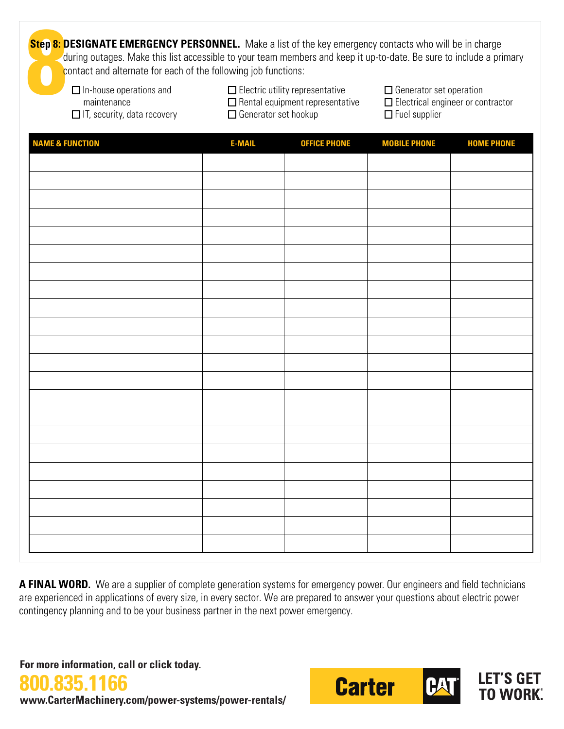**Step 8: D Step 8: DESIGNATE EMERGENCY PERSONNEL.** Make a list of the key emergency contacts who will be in charge during outages. Make this list accessible to your team members and keep it up-to-date. Be sure to include a primary contact and alternate for each of the following job functions:

 $\Box$  In-house operations and maintenance  $\Box$  IT, security, data recovery

 $\Box$  Electric utility representative  $\square$  Rental equipment representative □ Generator set hookup

□ Generator set operation □ Electrical engineer or contractor  $\Box$  Fuel supplier

| <b>NAME &amp; FUNCTION</b> | <b>E-MAIL</b> | <b>OFFICE PHONE</b> | <b>MOBILE PHONE</b> | <b>HOME PHONE</b> |
|----------------------------|---------------|---------------------|---------------------|-------------------|
|                            |               |                     |                     |                   |
|                            |               |                     |                     |                   |
|                            |               |                     |                     |                   |
|                            |               |                     |                     |                   |
|                            |               |                     |                     |                   |
|                            |               |                     |                     |                   |
|                            |               |                     |                     |                   |
|                            |               |                     |                     |                   |
|                            |               |                     |                     |                   |
|                            |               |                     |                     |                   |
|                            |               |                     |                     |                   |
|                            |               |                     |                     |                   |
|                            |               |                     |                     |                   |
|                            |               |                     |                     |                   |
|                            |               |                     |                     |                   |
|                            |               |                     |                     |                   |
|                            |               |                     |                     |                   |
|                            |               |                     |                     |                   |
|                            |               |                     |                     |                   |
|                            |               |                     |                     |                   |
|                            |               |                     |                     |                   |
|                            |               |                     |                     |                   |

A FINAL WORD. We are a supplier of complete generation systems for emergency power. Our engineers and field technicians are experienced in applications of every size, in every sector. We are prepared to answer your questions about electric power contingency planning and to be your business partner in the next power emergency.

**For more information, call or click today.**

**835.1** 



**www.CarterMachinery.com/power-systems/power-rentals/**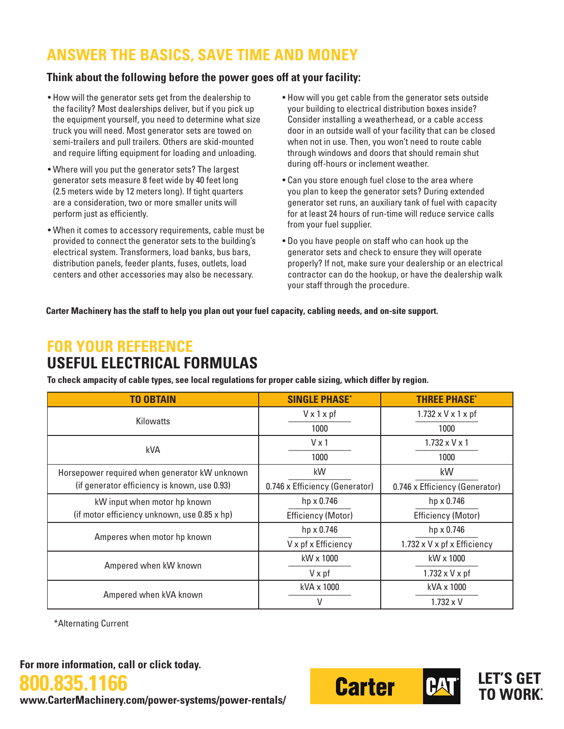# **ANSWER THE BASICS, SAVE TIME AND MONEY**

#### **Think about the following before the power goes off at your facility:**

- How will the generator sets get from the dealership to the facility? Most dealerships deliver, but if you pick up the equipment yourself, you need to determine what size truck you will need. Most generator sets are towed on semi-trailers and pull trailers. Others are skid-mounted and require lifting equipment for loading and unloading.
- Where will you put the generator sets? The largest generator sets measure 8 feet wide by 40 feet long (2.5 meters wide by 12 meters long). If tight quarters are a consideration, two or more smaller units will perform just as efficiently.
- When it comes to accessory requirements, cable must be provided to connect the generator sets to the building's electrical system. Transformers, load banks, bus bars, distribution panels, feeder plants, fuses, outlets, load centers and other accessories may also be necessary.
- How will you get cable from the generator sets outside your building to electrical distribution boxes inside? Consider installing a weatherhead, or a cable access door in an outside wall of your facility that can be closed when not in use. Then, you won't need to route cable through windows and doors that should remain shut during off-hours or inclement weather.
- Can you store enough fuel close to the area where you plan to keep the generator sets? During extended generator set runs, an auxiliary tank of fuel with capacity for at least 24 hours of run-time will reduce service calls from your fuel supplier.
- Do you have people on staff who can hook up the generator sets and check to ensure they will operate properly? If not, make sure your dealership or an electrical contractor can do the hookup, or have the dealership walk your staff through the procedure.

**Carter Machinery has the staff to help you plan out your fuel capacity, cabling needs, and on-site support.** 

### **FOR YOUR REFERENCE USEFUL ELECTRICAL FORMULAS**

**To check ampacity of cable types, see local regulations for proper cable sizing, which differ by region.**

| <b>TO OBTAIN</b>                              | <b>SINGLE PHASE*</b>           | <b>THREE PHASE*</b>                 |  |  |
|-----------------------------------------------|--------------------------------|-------------------------------------|--|--|
| <b>Kilowatts</b>                              | $V \times 1 \times pf$         | $1.732 \times V \times 1 \times pf$ |  |  |
|                                               | 1000                           | 1000                                |  |  |
| <b>kVA</b>                                    | $V \times 1$                   | $1.732 \times V \times 1$           |  |  |
|                                               | 1000                           | 1000                                |  |  |
| Horsepower required when generator kW unknown | kW                             | kW                                  |  |  |
| (if generator efficiency is known, use 0.93)  | 0.746 x Efficiency (Generator) | 0.746 x Efficiency (Generator)      |  |  |
| kW input when motor hp known                  | hp x 0.746                     | hp x 0.746                          |  |  |
| (if motor efficiency unknown, use 0.85 x hp)  | <b>Efficiency (Motor)</b>      | <b>Efficiency (Motor)</b>           |  |  |
| Amperes when motor hp known                   | hp x 0.746                     | hp x 0.746                          |  |  |
|                                               | V x pf x Efficiency            | 1.732 x V x pf x Efficiency         |  |  |
|                                               | kW x 1000                      | kW x 1000                           |  |  |
| Ampered when kW known                         | $V \times pf$                  | $1.732 \times V \times pf$          |  |  |
|                                               | kVA x 1000                     | kVA x 1000                          |  |  |
| Ampered when kVA known                        | V                              | $1.732 \times V$                    |  |  |

\*Alternating Current

**For more information, call or click today.**